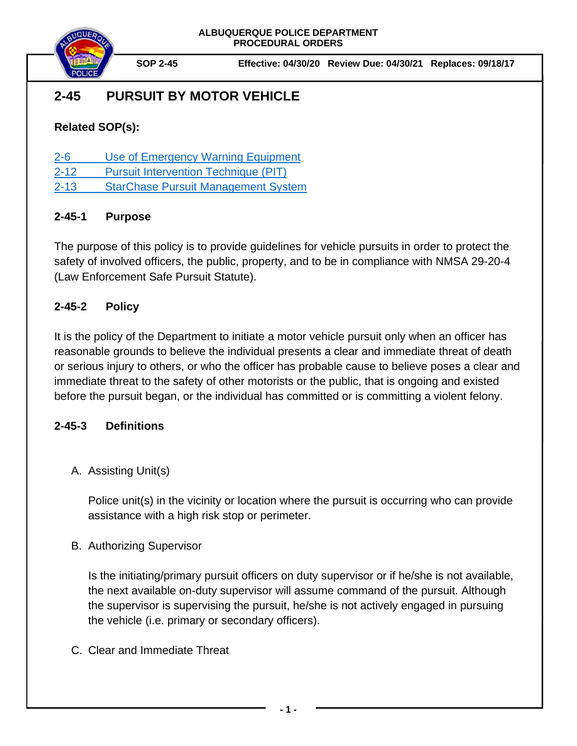

# **2-45 PURSUIT BY MOTOR VEHICLE**

# **Related SOP(s):**

- [2-6 Use of Emergency Warning Equipment](https://powerdms.com/link/IDS/document/?id=140)
- [2-12 Pursuit Intervention Technique](https://powerdms.com/link/IDS/document/?id=1451702) (PIT)
- [2-13 StarChase Pursuit Management System](https://powerdms.com/link/IDS/document/?id=1499650)

# **2-45-1 Purpose**

The purpose of this policy is to provide guidelines for vehicle pursuits in order to protect the safety of involved officers, the public, property, and to be in compliance with NMSA 29-20-4 (Law Enforcement Safe Pursuit Statute).

# **2-45-2 Policy**

It is the policy of the Department to initiate a motor vehicle pursuit only when an officer has reasonable grounds to believe the individual presents a clear and immediate threat of death or serious injury to others, or who the officer has probable cause to believe poses a clear and immediate threat to the safety of other motorists or the public, that is ongoing and existed before the pursuit began, or the individual has committed or is committing a violent felony.

## **2-45-3 Definitions**

# A. Assisting Unit(s)

Police unit(s) in the vicinity or location where the pursuit is occurring who can provide assistance with a high risk stop or perimeter.

## B. Authorizing Supervisor

Is the initiating/primary pursuit officers on duty supervisor or if he/she is not available, the next available on-duty supervisor will assume command of the pursuit. Although the supervisor is supervising the pursuit, he/she is not actively engaged in pursuing the vehicle (i.e. primary or secondary officers).

C. Clear and Immediate Threat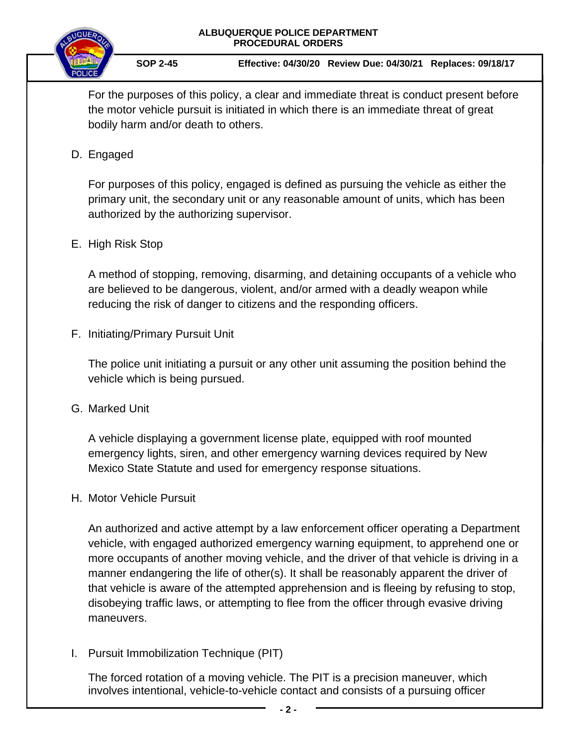



For the purposes of this policy, a clear and immediate threat is conduct present before the motor vehicle pursuit is initiated in which there is an immediate threat of great bodily harm and/or death to others.

### D. Engaged

For purposes of this policy, engaged is defined as pursuing the vehicle as either the primary unit, the secondary unit or any reasonable amount of units, which has been authorized by the authorizing supervisor.

### E. High Risk Stop

A method of stopping, removing, disarming, and detaining occupants of a vehicle who are believed to be dangerous, violent, and/or armed with a deadly weapon while reducing the risk of danger to citizens and the responding officers.

F. Initiating/Primary Pursuit Unit

The police unit initiating a pursuit or any other unit assuming the position behind the vehicle which is being pursued.

G. Marked Unit

A vehicle displaying a government license plate, equipped with roof mounted emergency lights, siren, and other emergency warning devices required by New Mexico State Statute and used for emergency response situations.

H. Motor Vehicle Pursuit

An authorized and active attempt by a law enforcement officer operating a Department vehicle, with engaged authorized emergency warning equipment, to apprehend one or more occupants of another moving vehicle, and the driver of that vehicle is driving in a manner endangering the life of other(s). It shall be reasonably apparent the driver of that vehicle is aware of the attempted apprehension and is fleeing by refusing to stop, disobeying traffic laws, or attempting to flee from the officer through evasive driving maneuvers.

I. Pursuit Immobilization Technique (PIT)

The forced rotation of a moving vehicle. The PIT is a precision maneuver, which involves intentional, vehicle-to-vehicle contact and consists of a pursuing officer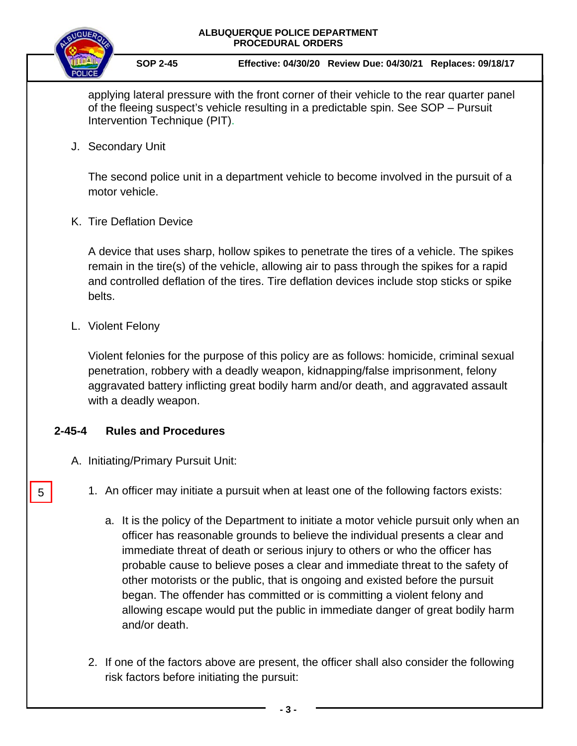

**SOP 2-45 Effective: 04/30/20 Review Due: 04/30/21 Replaces: 09/18/17**

applying lateral pressure with the front corner of their vehicle to the rear quarter panel of the fleeing suspect's vehicle resulting in a predictable spin. See SOP – Pursuit Intervention Technique (PIT).

J. Secondary Unit

The second police unit in a department vehicle to become involved in the pursuit of a motor vehicle.

K. Tire Deflation Device

A device that uses sharp, hollow spikes to penetrate the tires of a vehicle. The spikes remain in the tire(s) of the vehicle, allowing air to pass through the spikes for a rapid and controlled deflation of the tires. Tire deflation devices include stop sticks or spike belts.

L. Violent Felony

5

Violent felonies for the purpose of this policy are as follows: homicide, criminal sexual penetration, robbery with a deadly weapon, kidnapping/false imprisonment, felony aggravated battery inflicting great bodily harm and/or death, and aggravated assault with a deadly weapon.

## **2-45-4 Rules and Procedures**

- A. Initiating/Primary Pursuit Unit:
	- 1. An officer may initiate a pursuit when at least one of the following factors exists:
		- a. It is the policy of the Department to initiate a motor vehicle pursuit only when an officer has reasonable grounds to believe the individual presents a clear and immediate threat of death or serious injury to others or who the officer has probable cause to believe poses a clear and immediate threat to the safety of other motorists or the public, that is ongoing and existed before the pursuit began. The offender has committed or is committing a violent felony and allowing escape would put the public in immediate danger of great bodily harm and/or death.
	- 2. If one of the factors above are present, the officer shall also consider the following risk factors before initiating the pursuit: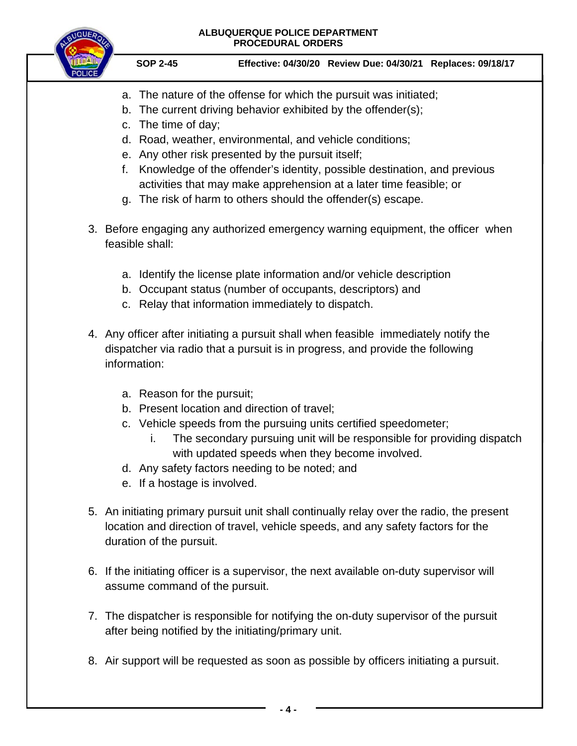- a. The nature of the offense for which the pursuit was initiated;
- b. The current driving behavior exhibited by the offender(s);
- c. The time of day;
- d. Road, weather, environmental, and vehicle conditions;
- e. Any other risk presented by the pursuit itself;
- f. Knowledge of the offender's identity, possible destination, and previous activities that may make apprehension at a later time feasible; or
- g. The risk of harm to others should the offender(s) escape.
- 3. Before engaging any authorized emergency warning equipment, the officer when feasible shall:
	- a. Identify the license plate information and/or vehicle description
	- b. Occupant status (number of occupants, descriptors) and
	- c. Relay that information immediately to dispatch.
- 4. Any officer after initiating a pursuit shall when feasible immediately notify the dispatcher via radio that a pursuit is in progress, and provide the following information:
	- a. Reason for the pursuit;
	- b. Present location and direction of travel;
	- c. Vehicle speeds from the pursuing units certified speedometer;
		- i. The secondary pursuing unit will be responsible for providing dispatch with updated speeds when they become involved.
	- d. Any safety factors needing to be noted; and
	- e. If a hostage is involved.
- 5. An initiating primary pursuit unit shall continually relay over the radio, the present location and direction of travel, vehicle speeds, and any safety factors for the duration of the pursuit.
- 6. If the initiating officer is a supervisor, the next available on-duty supervisor will assume command of the pursuit.
- 7. The dispatcher is responsible for notifying the on-duty supervisor of the pursuit after being notified by the initiating/primary unit.
- 8. Air support will be requested as soon as possible by officers initiating a pursuit.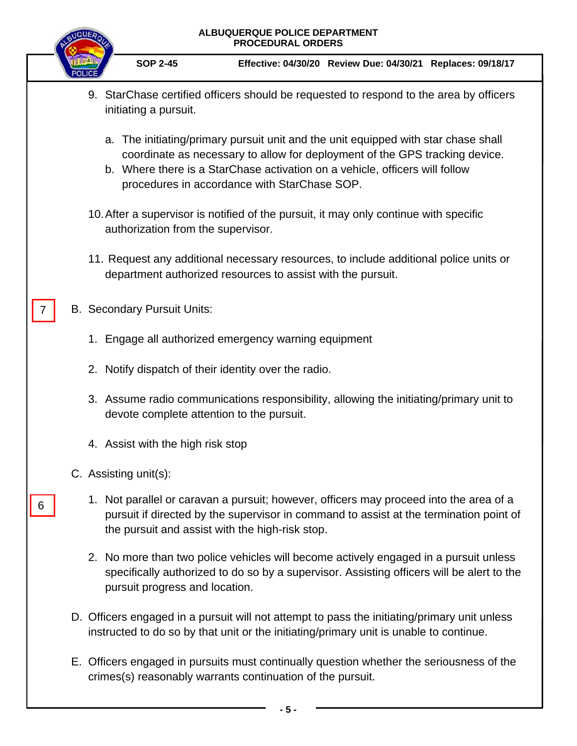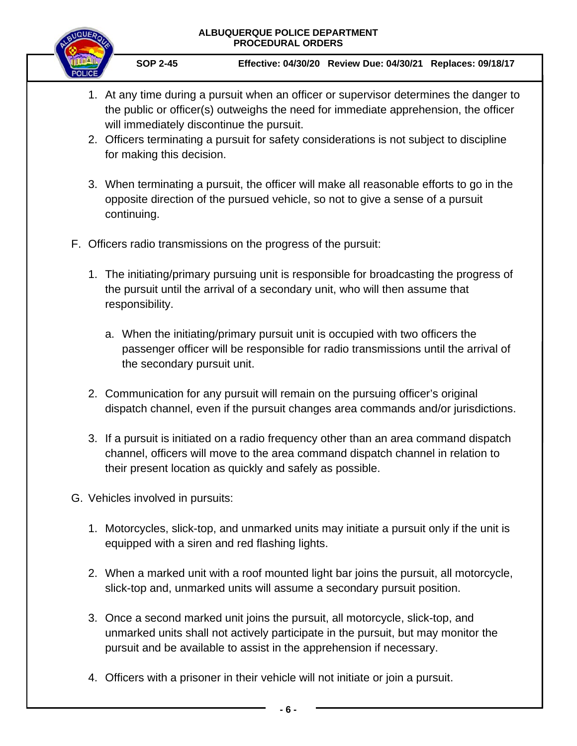

- 1. At any time during a pursuit when an officer or supervisor determines the danger to the public or officer(s) outweighs the need for immediate apprehension, the officer will immediately discontinue the pursuit.
- 2. Officers terminating a pursuit for safety considerations is not subject to discipline for making this decision.
- 3. When terminating a pursuit, the officer will make all reasonable efforts to go in the opposite direction of the pursued vehicle, so not to give a sense of a pursuit continuing.
- F. Officers radio transmissions on the progress of the pursuit:
	- 1. The initiating/primary pursuing unit is responsible for broadcasting the progress of the pursuit until the arrival of a secondary unit, who will then assume that responsibility.
		- a. When the initiating/primary pursuit unit is occupied with two officers the passenger officer will be responsible for radio transmissions until the arrival of the secondary pursuit unit.
	- 2. Communication for any pursuit will remain on the pursuing officer's original dispatch channel, even if the pursuit changes area commands and/or jurisdictions.
	- 3. If a pursuit is initiated on a radio frequency other than an area command dispatch channel, officers will move to the area command dispatch channel in relation to their present location as quickly and safely as possible.
- G. Vehicles involved in pursuits:
	- 1. Motorcycles, slick-top, and unmarked units may initiate a pursuit only if the unit is equipped with a siren and red flashing lights.
	- 2. When a marked unit with a roof mounted light bar joins the pursuit, all motorcycle, slick-top and, unmarked units will assume a secondary pursuit position.
	- 3. Once a second marked unit joins the pursuit, all motorcycle, slick-top, and unmarked units shall not actively participate in the pursuit, but may monitor the pursuit and be available to assist in the apprehension if necessary.
	- 4. Officers with a prisoner in their vehicle will not initiate or join a pursuit.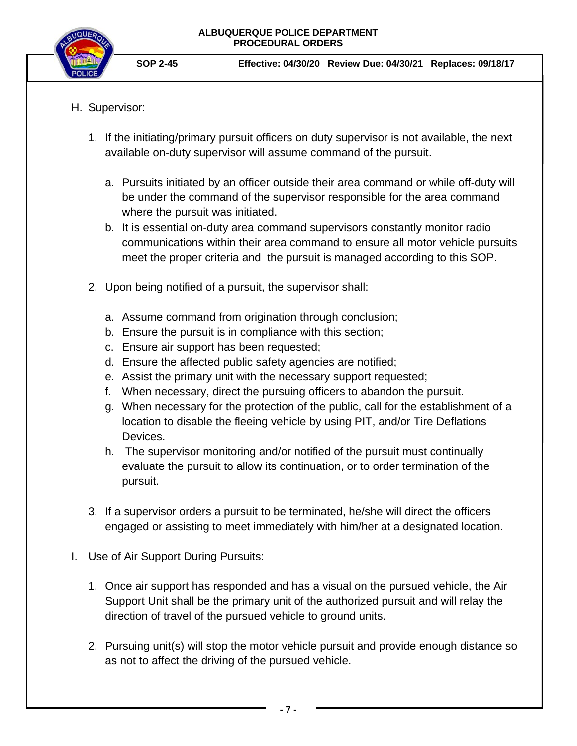

- H. Supervisor:
	- 1. If the initiating/primary pursuit officers on duty supervisor is not available, the next available on-duty supervisor will assume command of the pursuit.
		- a. Pursuits initiated by an officer outside their area command or while off-duty will be under the command of the supervisor responsible for the area command where the pursuit was initiated.
		- b. It is essential on-duty area command supervisors constantly monitor radio communications within their area command to ensure all motor vehicle pursuits meet the proper criteria and the pursuit is managed according to this SOP.
	- 2. Upon being notified of a pursuit, the supervisor shall:
		- a. Assume command from origination through conclusion;
		- b. Ensure the pursuit is in compliance with this section;
		- c. Ensure air support has been requested;
		- d. Ensure the affected public safety agencies are notified;
		- e. Assist the primary unit with the necessary support requested;
		- f. When necessary, direct the pursuing officers to abandon the pursuit.
		- g. When necessary for the protection of the public, call for the establishment of a location to disable the fleeing vehicle by using PIT, and/or Tire Deflations Devices.
		- h. The supervisor monitoring and/or notified of the pursuit must continually evaluate the pursuit to allow its continuation, or to order termination of the pursuit.
	- 3. If a supervisor orders a pursuit to be terminated, he/she will direct the officers engaged or assisting to meet immediately with him/her at a designated location.
- I. Use of Air Support During Pursuits:
	- 1. Once air support has responded and has a visual on the pursued vehicle, the Air Support Unit shall be the primary unit of the authorized pursuit and will relay the direction of travel of the pursued vehicle to ground units.
	- 2. Pursuing unit(s) will stop the motor vehicle pursuit and provide enough distance so as not to affect the driving of the pursued vehicle.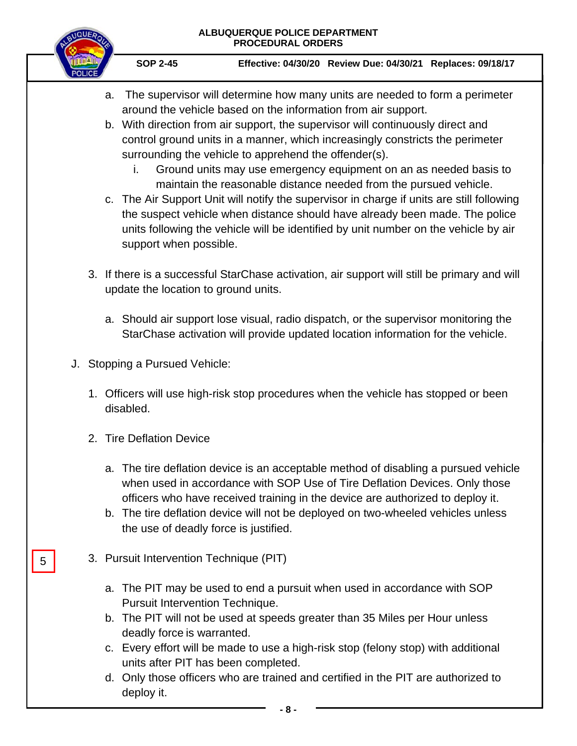

**SOP 2-45 Effective: 04/30/20 Review Due: 04/30/21 Replaces: 09/18/17**

- a. The supervisor will determine how many units are needed to form a perimeter around the vehicle based on the information from air support.
- b. With direction from air support, the supervisor will continuously direct and control ground units in a manner, which increasingly constricts the perimeter surrounding the vehicle to apprehend the offender(s).
	- i. Ground units may use emergency equipment on an as needed basis to maintain the reasonable distance needed from the pursued vehicle.
- c. The Air Support Unit will notify the supervisor in charge if units are still following the suspect vehicle when distance should have already been made. The police units following the vehicle will be identified by unit number on the vehicle by air support when possible.
- 3. If there is a successful StarChase activation, air support will still be primary and will update the location to ground units.
	- a. Should air support lose visual, radio dispatch, or the supervisor monitoring the StarChase activation will provide updated location information for the vehicle.
- J. Stopping a Pursued Vehicle:
	- 1. Officers will use high-risk stop procedures when the vehicle has stopped or been disabled.
	- 2. Tire Deflation Device

5

- a. The tire deflation device is an acceptable method of disabling a pursued vehicle when used in accordance with SOP Use of Tire Deflation Devices. Only those officers who have received training in the device are authorized to deploy it.
- b. The tire deflation device will not be deployed on two-wheeled vehicles unless the use of deadly force is justified.
- 3. Pursuit Intervention Technique (PIT)
	- a. The PIT may be used to end a pursuit when used in accordance with SOP Pursuit Intervention Technique.
	- b. The PIT will not be used at speeds greater than 35 Miles per Hour unless deadly force is warranted.
	- c. Every effort will be made to use a high-risk stop (felony stop) with additional units after PIT has been completed.
	- d. Only those officers who are trained and certified in the PIT are authorized to deploy it.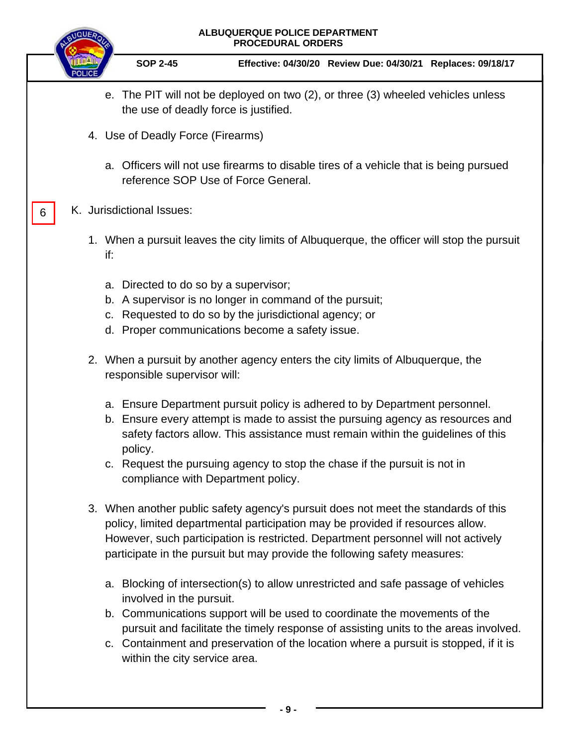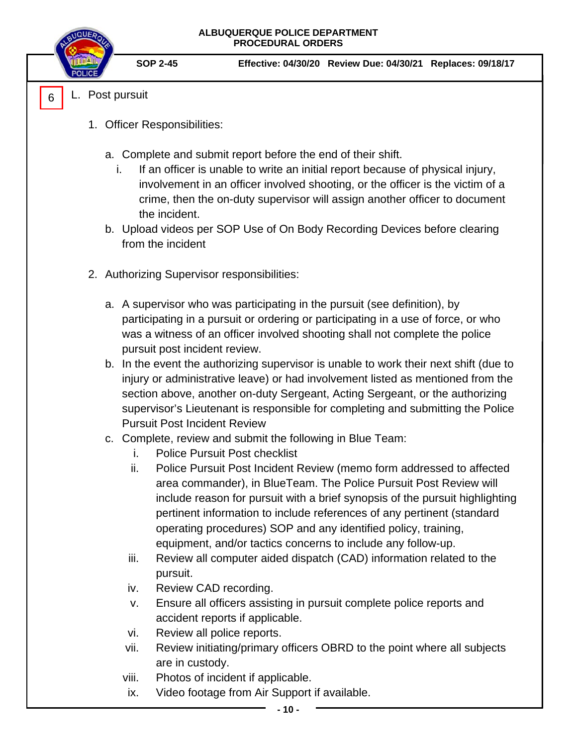- L. Post pursuit 6
	- 1. Officer Responsibilities:
		- a. Complete and submit report before the end of their shift.
			- i. If an officer is unable to write an initial report because of physical injury, involvement in an officer involved shooting, or the officer is the victim of a crime, then the on-duty supervisor will assign another officer to document the incident.
		- b. Upload videos per SOP Use of On Body Recording Devices before clearing from the incident
	- 2. Authorizing Supervisor responsibilities:
		- a. A supervisor who was participating in the pursuit (see definition), by participating in a pursuit or ordering or participating in a use of force, or who was a witness of an officer involved shooting shall not complete the police pursuit post incident review.
		- b. In the event the authorizing supervisor is unable to work their next shift (due to injury or administrative leave) or had involvement listed as mentioned from the section above, another on-duty Sergeant, Acting Sergeant, or the authorizing supervisor's Lieutenant is responsible for completing and submitting the Police Pursuit Post Incident Review
		- c. Complete, review and submit the following in Blue Team:
			- i. Police Pursuit Post checklist
			- ii. Police Pursuit Post Incident Review (memo form addressed to affected area commander), in BlueTeam. The Police Pursuit Post Review will include reason for pursuit with a brief synopsis of the pursuit highlighting pertinent information to include references of any pertinent (standard operating procedures) SOP and any identified policy, training, equipment, and/or tactics concerns to include any follow-up.
			- iii. Review all computer aided dispatch (CAD) information related to the pursuit.
			- iv. Review CAD recording.
			- v. Ensure all officers assisting in pursuit complete police reports and accident reports if applicable.
			- vi. Review all police reports.
			- vii. Review initiating/primary officers OBRD to the point where all subjects are in custody.
			- viii. Photos of incident if applicable.
			- ix. Video footage from Air Support if available.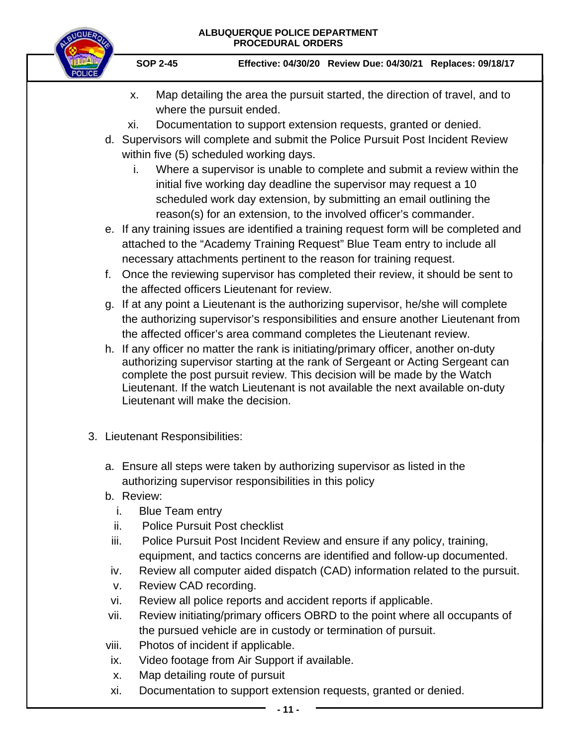

- x. Map detailing the area the pursuit started, the direction of travel, and to where the pursuit ended.
- xi. Documentation to support extension requests, granted or denied.
- d. Supervisors will complete and submit the Police Pursuit Post Incident Review within five (5) scheduled working days.
	- i. Where a supervisor is unable to complete and submit a review within the initial five working day deadline the supervisor may request a 10 scheduled work day extension, by submitting an email outlining the reason(s) for an extension, to the involved officer's commander.
- e. If any training issues are identified a training request form will be completed and attached to the "Academy Training Request" Blue Team entry to include all necessary attachments pertinent to the reason for training request.
- f. Once the reviewing supervisor has completed their review, it should be sent to the affected officers Lieutenant for review.
- g. If at any point a Lieutenant is the authorizing supervisor, he/she will complete the authorizing supervisor's responsibilities and ensure another Lieutenant from the affected officer's area command completes the Lieutenant review.
- h. If any officer no matter the rank is initiating/primary officer, another on-duty authorizing supervisor starting at the rank of Sergeant or Acting Sergeant can complete the post pursuit review. This decision will be made by the Watch Lieutenant. If the watch Lieutenant is not available the next available on-duty Lieutenant will make the decision.
- 3. Lieutenant Responsibilities:
	- a. Ensure all steps were taken by authorizing supervisor as listed in the authorizing supervisor responsibilities in this policy
	- b. Review:
		- i. Blue Team entry
		- ii. Police Pursuit Post checklist
		- iii. Police Pursuit Post Incident Review and ensure if any policy, training, equipment, and tactics concerns are identified and follow-up documented.
		- iv. Review all computer aided dispatch (CAD) information related to the pursuit.
		- v. Review CAD recording.
	- vi. Review all police reports and accident reports if applicable.
	- vii. Review initiating/primary officers OBRD to the point where all occupants of the pursued vehicle are in custody or termination of pursuit.
	- viii. Photos of incident if applicable.
	- ix. Video footage from Air Support if available.
	- x. Map detailing route of pursuit
	- xi. Documentation to support extension requests, granted or denied.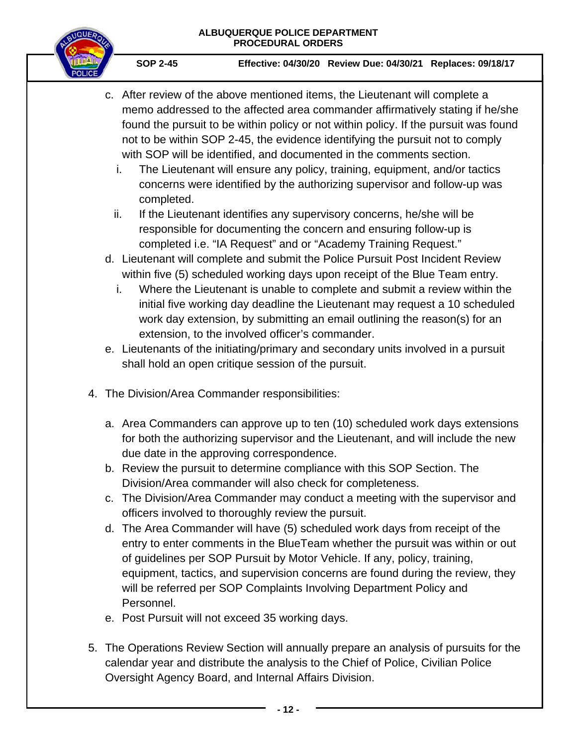

- c. After review of the above mentioned items, the Lieutenant will complete a memo addressed to the affected area commander affirmatively stating if he/she found the pursuit to be within policy or not within policy. If the pursuit was found not to be within SOP 2-45, the evidence identifying the pursuit not to comply with SOP will be identified, and documented in the comments section.
	- i. The Lieutenant will ensure any policy, training, equipment, and/or tactics concerns were identified by the authorizing supervisor and follow-up was completed.
	- ii. If the Lieutenant identifies any supervisory concerns, he/she will be responsible for documenting the concern and ensuring follow-up is completed i.e. "IA Request" and or "Academy Training Request."
- d. Lieutenant will complete and submit the Police Pursuit Post Incident Review within five (5) scheduled working days upon receipt of the Blue Team entry.
	- i. Where the Lieutenant is unable to complete and submit a review within the initial five working day deadline the Lieutenant may request a 10 scheduled work day extension, by submitting an email outlining the reason(s) for an extension, to the involved officer's commander.
- e. Lieutenants of the initiating/primary and secondary units involved in a pursuit shall hold an open critique session of the pursuit.
- 4. The Division/Area Commander responsibilities:
	- a. Area Commanders can approve up to ten (10) scheduled work days extensions for both the authorizing supervisor and the Lieutenant, and will include the new due date in the approving correspondence.
	- b. Review the pursuit to determine compliance with this SOP Section. The Division/Area commander will also check for completeness.
	- c. The Division/Area Commander may conduct a meeting with the supervisor and officers involved to thoroughly review the pursuit.
	- d. The Area Commander will have (5) scheduled work days from receipt of the entry to enter comments in the BlueTeam whether the pursuit was within or out of guidelines per SOP Pursuit by Motor Vehicle. If any, policy, training, equipment, tactics, and supervision concerns are found during the review, they will be referred per SOP Complaints Involving Department Policy and Personnel.
	- e. Post Pursuit will not exceed 35 working days.
- 5. The Operations Review Section will annually prepare an analysis of pursuits for the calendar year and distribute the analysis to the Chief of Police, Civilian Police Oversight Agency Board, and Internal Affairs Division.